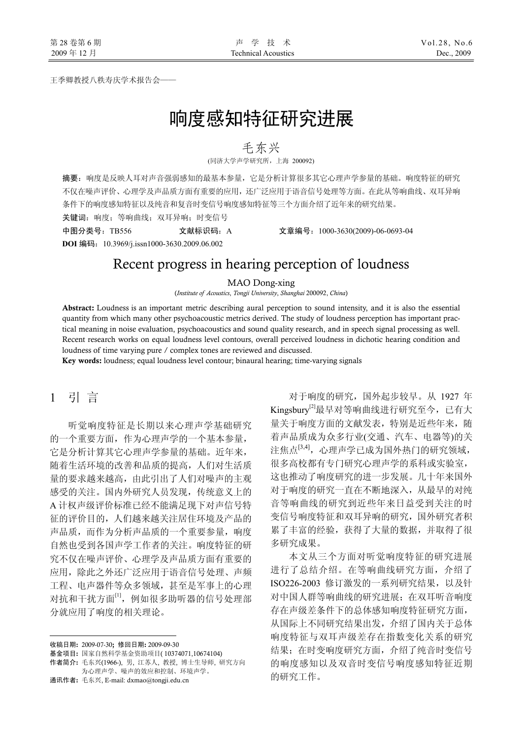王季卿教授八秩寿庆学术报告会——

# 响度感知特征研究进展

### 毛东兴

(同济大学声学研究所,上海 200092)

摘要:响度是反映人耳对声音强弱感知的最基本参量,它是分析计算很多其它心理声学参量的基础。响度特征的研究 不仅在噪声评价、心理学及声品质方面有重要的应用,还广泛应用于语音信号处理等方面。在此从等响曲线、双耳异响 条件下的响度感知特征以及纯音和复音时变信号响度感知特征等三个方面介绍了近年来的研究结果。

关键词:响度;等响曲线;双耳异响;时变信号

中图分类号:TB556 文献标识码:A 文章编号:1000-3630(2009)-06-0693-04

**DOI** 编码:10.3969/j.issn1000-3630.2009.06.002

## Recent progress in hearing perception of loudness

#### MAO Dong-xing

(*Institute of Acoustics*, *Tongji University*, *Shanghai* 200092, *China*)

Abstract: Loudness is an important metric describing aural perception to sound intensity, and it is also the essential quantity from which many other psychoacoustic metrics derived. The study of loudness perception has important practical meaning in noise evaluation, psychoacoustics and sound quality research, and in speech signal processing as well. Recent research works on equal loudness level contours, overall perceived loudness in dichotic hearing condition and loudness of time varying pure / complex tones are reviewed and discussed.

Key words: loudness; equal loudness level contour; binaural hearing; time-varying signals

## 1 引 言

听觉响度特征是长期以来心理声学基础研究 的一个重要方面,作为心理声学的一个基本参量, 它是分析计算其它心理声学参量的基础。近年来, 随着生活环境的改善和品质的提高,人们对生活质 量的要求越来越高,由此引出了人们对噪声的主观 感受的关注。国内外研究人员发现,传统意义上的 A 计权声级评价标准已经不能满足现下对声信号特 征的评价目的,人们越来越关注居住环境及产品的 声品质,而作为分析声品质的一个重要参量,响度 自然也受到各国声学工作者的关注。响度特征的研 究不仅在噪声评价、心理学及声品质方面有重要的 应用,除此之外还广泛应用于语音信号处理、声频 工程、电声器件等众多领域,甚至是军事上的心理 对抗和干扰方面[1],例如很多助听器的信号处理部 分就应用了响度的相关理论。

收稿日期: 2009-07-30; 修回日期: 2009-09-30

 $\overline{a}$ 

基金项目: 国家自然科学基金资助项目( 10374071,10674104)

作者简介: 毛东兴(1966-), 男, 江苏人, 教授, 博士生导师, 研究方向 为心理声学、噪声的效应和控制、环境声学。

通讯作者: 毛东兴, E-mail: dxmao@tongji.edu.cn

对于响度的研究,国外起步较早。从 1927 年 Kingsbury[2]最早对等响曲线进行研究至今,已有大 量关于响度方面的文献发表,特别是近些年来,随 着声品质成为众多行业(交通、汽车、电器等)的关 注焦点[3,4],心理声学已成为国外热门的研究领域, 很多高校都有专门研究心理声学的系科或实验室, 这也推动了响度研究的进一步发展。几十年来国外 对于响度的研究一直在不断地深入,从最早的对纯 音等响曲线的研究到近些年来日益受到关注的时 变信号响度特征和双耳异响的研究,国外研究者积 累了丰富的经验,获得了大量的数据,并取得了很 多研究成果。

本文从三个方面对听觉响度特征的研究进展 进行了总结介绍。在等响曲线研究方面,介绍了 ISO226-2003 修订激发的一系列研究结果,以及针 对中国人群等响曲线的研究进展;在双耳听音响度 存在声级差条件下的总体感知响度特征研究方面, 从国际上不同研究结果出发,介绍了国内关于总体 响度特征与双耳声级差存在指数变化关系的研究 结果: 在时变响度研究方面, 介绍了纯音时变信号 的响度感知以及双音时变信号响度感知特征近期 的研究工作。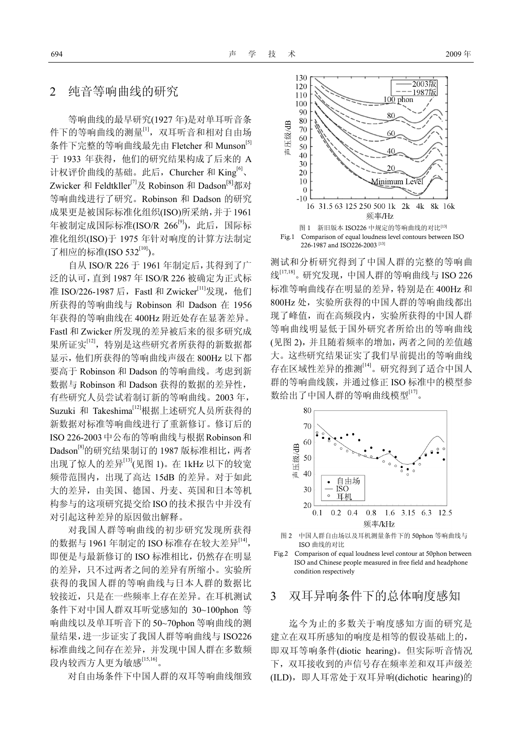## 2 纯音等响曲线的研究

等响曲线的最早研究(1927 年)是对单耳听音条 件下的等响曲线的测量[1],双耳听音和相对自由场 条件下完整的等响曲线最先由 Fletcher 和 Munson<sup>[5]</sup> 于 1933 年获得,他们的研究结果构成了后来的 A 计权评价曲线的基础。此后, Churcher 和 King<sup>[6]</sup>、 Zwicker 和 Feldtkller<sup>[7]</sup>及 Robinson 和 Dadson<sup>[8]</sup>都对 等响曲线进行了研究。Robinson 和 Dadson 的研究 成果更是被国际标准化组织(ISO)所采纳,并于1961 年被制定成国际标准(ISO/R  $266^{[9]}$ ), 此后, 国际标 准化组织(ISO)于 1975 年针对响度的计算方法制定 了相应的标准(ISO 532[10])。

自从 ISO/R 226 于 1961 年制定后,其得到了广 泛的认可,直到 1987 年 ISO/R 226 被确定为正式标 准 ISO/226-1987 后, Fastl 和 Zwicker[11]发现, 他们 所获得的等响曲线与 Robinson 和 Dadson 在 1956 年获得的等响曲线在 400Hz 附近处存在显著差异。 Fastl 和 Zwicker 所发现的差异被后来的很多研究成 果所证实[12],特别是这些研究者所获得的新数据都 显示,他们所获得的等响曲线声级在 800Hz 以下都 要高于 Robinson 和 Dadson 的等响曲线。考虑到新 数据与 Robinson 和 Dadson 获得的数据的差异性, 有些研究人员尝试着制订新的等响曲线。2003 年, Suzuki 和 Takeshima[12]根据上述研究人员所获得的 新数据对标准等响曲线进行了重新修订。修订后的 ISO 226-2003中公布的等响曲线与根据Robinson和 Dadson<sup>[8]</sup>的研究结果制订的 1987 版标准相比, 两者 出现了惊人的差异[13](见图 1)。在 1kHz 以下的较宽 频带范围内,出现了高达 15dB 的差异。对于如此 大的差异,由美国、德国、丹麦、英国和日本等机 构参与的这项研究提交给ISO的技术报告中并没有 对引起这种差异的原因做出解释。

对我国人群等响曲线的初步研究发现所获得 的数据与 1961 年制定的 ISO 标准存在较大差异<sup>[14]</sup>, 即便是与最新修订的 ISO 标准相比,仍然存在明显 的差异,只不过两者之间的差异有所缩小。实验所 获得的我国人群的等响曲线与日本人群的数据比 较接近,只是在一些频率上存在差异。在耳机测试 条件下对中国人群双耳听觉感知的 30~100phon 等 响曲线以及单耳听音下的 50~70phon 等响曲线的测 量结果,进一步证实了我国人群等响曲线与 ISO226 标准曲线之间存在差异,并发现中国人群在多数频 段内较西方人更为敏感[15,16]。

对自由场条件下中国人群的双耳等响曲线细致



测试和分析研究得到了中国人群的完整的等响曲 线<sup>[17,18]</sup>。研究发现,中国人群的等响曲线与 ISO 226 标准等响曲线存在明显的差异,特别是在 400Hz 和 800Hz 处, 实验所获得的中国人群的等响曲线都出 现了峰值,而在高频段内,实验所获得的中国人群 等响曲线明显低于国外研究者所给出的等响曲线 (见图 2),并且随着频率的增加,两者之间的差值越 大。这些研究结果证实了我们早前提出的等响曲线 存在区域性差异的推测[14]。研究得到了适合中国人 群的等响曲线簇,并通过修正 ISO 标准中的模型参 数给出了中国人群的等响曲线模型<sup>[17]</sup>。



图 2 中国人群自由场以及耳机测量条件下的 50phon 等响曲线与 ISO 曲线的对比

## 3 双耳异响条件下的总体响度感知

迄今为止的多数关于响度感知方面的研究是 建立在双耳所感知的响度是相等的假设基础上的, 即双耳等响条件(diotic hearing)。但实际听音情况 下,双耳接收到的声信号存在频率差和双耳声级差 (ILD),即人耳常处于双耳异响(dichotic hearing)的

Fig.2 Comparison of equal loudness level contour at 50phon between ISO and Chinese people measured in free field and headphone condition respectively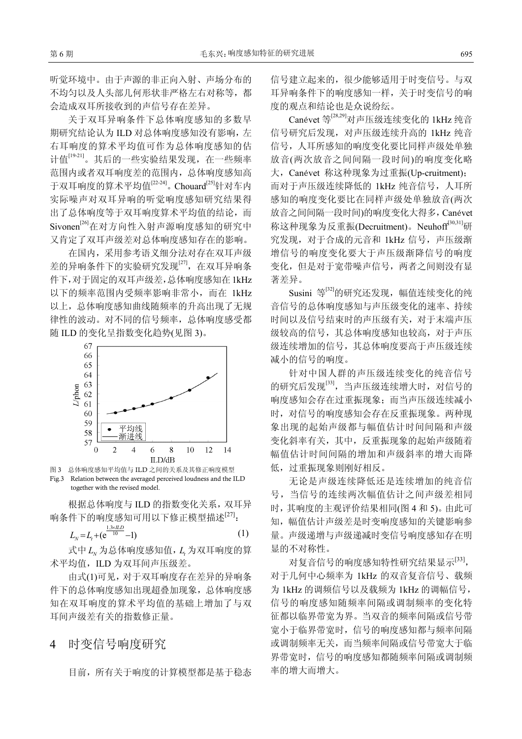听觉环境中。由于声源的非正向入射、声场分布的 不均匀以及人头部几何形状非严格左右对称等,都 会造成双耳所接收到的声信号存在差异。

关于双耳异响条件下总体响度感知的多数早 期研究结论认为 ILD 对总体响度感知没有影响, 左 右耳响度的算术平均值可作为总体响度感知的估 计值[19-21]。其后的一些实验结果发现, 在一些频率 范围内或者双耳响度差的范围内,总体响度感知高 于双耳响度的算术平均值<sup>[22-24]</sup>。Chouard<sup>[25]</sup>针对车内 实际噪声对双耳异响的听觉响度感知研究结果得 出了总体响度等于双耳响度算术平均值的结论,而 Sivonen<sup>[26]</sup>在对方向性入射声源响度感知的研究中 又肯定了双耳声级差对总体响度感知存在的影响。

在国内,采用参考语义细分法对存在双耳声级 差的异响条件下的实验研究发现[27], 在双耳异响条 件下,对于固定的双耳声级差,总体响度感知在1kHz 以下的频率范围内受频率影响非常小,而在 1kHz 以上,总体响度感知曲线随频率的升高出现了无规 律性的波动。对不同的信号频率,总体响度感受都 随 ILD 的变化呈指数变化趋势(见图 3)。



图 3 总体响度感知平均值与 ILD 之间的关系及其修正响度模型 Fig.3 Relation between the averaged perceived loudness and the ILD together with the revised model.

根据总体响度与 ILD 的指数变化关系,双耳异 响条件下的响度感知可用以下修正模型描述[27]:

$$
L_{N} = L_{t} + (e^{\frac{1.3 \times ILD}{10}} - 1)
$$
 (1)

式中  $L_v$ 为总体响度感知值,  $L$ , 为双耳响度的算 术平均值, ILD 为双耳间声压级差。

由式(1)可见,对于双耳响度存在差异的异响条 件下的总体响度感知出现超叠加现象,总体响度感 知在双耳响度的算术平均值的基础上增加了与双 耳间声级差有关的指数修正量。

4 时变信号响度研究

目前,所有关于响度的计算模型都是基于稳态

信号建立起来的,很少能够适用于时变信号。与双 耳异响条件下的响度感知一样,关于时变信号的响 度的观点和结论也是众说纷纭。

Canévet 等[28,29]对声压级连续变化的 1kHz 纯音 信号研究后发现,对声压级连续升高的 1kHz 纯音 信号,人耳所感知的响度变化要比同样声级处单独 放音(两次放音之间间隔一段时间)的响度变化略 大,Canévet 称这种现象为过重振(Up-cruitment); 而对于声压级连续降低的 1kHz 纯音信号,人耳所 感知的响度变化要比在同样声级处单独放音(两次 放音之间间隔一段时间)的响度变化大得多,Canévet 称这种现象为反重振(Decruitment)。Neuhoff<sup>[30,31]</sup>研 究发现,对于合成的元音和 1kHz 信号,声压级渐 增信号的响度变化要大于声压级渐降信号的响度 变化,但是对于宽带噪声信号,两者之间则没有显 著差异。

Susini 等<sup>[32]</sup>的研究还发现,幅值连续变化的纯 音信号的总体响度感知与声压级变化的速率、持续 时间以及信号结束时的声压级有关,对于末端声压 级较高的信号,其总体响度感知也较高,对于声压 级连续增加的信号,其总体响度要高于声压级连续 减小的信号的响度。

针对中国人群的声压级连续变化的纯音信号 的研究后发现<sup>[33]</sup>, 当声压级连续增大时, 对信号的 响度感知会存在过重振现象;而当声压级连续减小 时,对信号的响度感知会存在反重振现象。两种现 象出现的起始声级都与幅值估计时间间隔和声级 变化斜率有关,其中,反重振现象的起始声级随着 幅值估计时间间隔的增加和声级斜率的增大而降 低,过重振现象则刚好相反。

无论是声级连续降低还是连续增加的纯音信 号,当信号的连续两次幅值估计之间声级差相同 时,其响度的主观评价结果相同(图 4 和 5)。由此可 知,幅值估计声级差是时变响度感知的关键影响参 量。声级递增与声级递减时变信号响度感知存在明 显的不对称性。

对复音信号的响度感知特性研究结果显示[33], 对于几何中心频率为 1kHz 的双音复音信号、载频 为 1kHz 的调频信号以及载频为 1kHz 的调幅信号, 信号的响度感知随频率间隔或调制频率的变化特 征都以临界带宽为界。当双音的频率间隔或信号带 宽小于临界带宽时,信号的响度感知都与频率间隔 或调制频率无关,而当频率间隔或信号带宽大于临 界带宽时,信号的响度感知都随频率间隔或调制频 率的增大而增大。